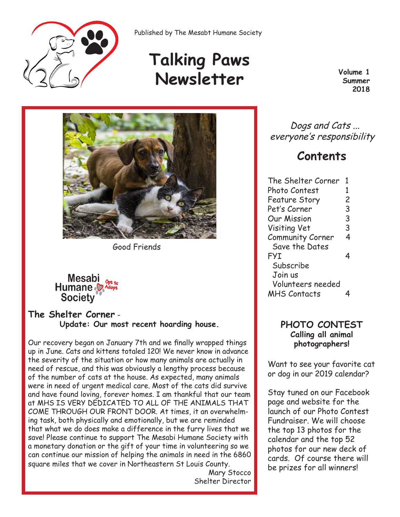

Published by The Mesabt Humane Society

# **Talking Paws Newsletter Volume 1**<br> **Newsletter Summer**

**Summer 2018**



Good Friends

# Mesabi<br>Humane **Society**

### **The Shelter Corner** - **Update: Our most recent hoarding house.**

Our recovery began on January 7th and we finally wrapped things up in June. Cats and kittens totaled 120! We never know in advance the severity of the situation or how many animals are actually in need of rescue, and this was obviously a lengthy process because of the number of cats at the house. As expected, many animals were in need of urgent medical care. Most of the cats did survive and have found loving, forever homes. I am thankful that our team at MHS IS VERY DEDICATED TO ALL OF THE ANIMALS THAT COME THROUGH OUR FRONT DOOR. At times, it an overwhelming task, both physically and emotionally, but we are reminded that what we do does make a difference in the furry lives that we save! Please continue to support The Mesabi Humane Society with a monetary donation or the gift of your time in volunteering so we can continue our mission of helping the animals in need in the 6860 square miles that we cover in Northeastern St Louis County.

Mary Stocco Shelter Director

 Dogs and Cats ... everyone's responsibility

# **Contents**

| The Shelter Corner   | 1 |
|----------------------|---|
| Photo Contest        | 1 |
| <b>Feature Story</b> | 2 |
| Pet's Corner         | 3 |
| Our Mission          | 3 |
| Visiting Vet         | 3 |
| Community Corner     | 4 |
| Save the Dates       |   |
| <b>FYI</b>           |   |
| Subscribe            |   |
| Join us              |   |
| Volunteers needed    |   |
| <b>MHS Contacts</b>  |   |
|                      |   |

### **PHOTO CONTEST Calling all animal photographers!**

Want to see your favorite cat or dog in our 2019 calendar?

Stay tuned on our Facebook page and website for the launch of our Photo Contest Fundraiser. We will choose the top 13 photos for the calendar and the top 52 photos for our new deck of cards. Of course there will be prizes for all winners!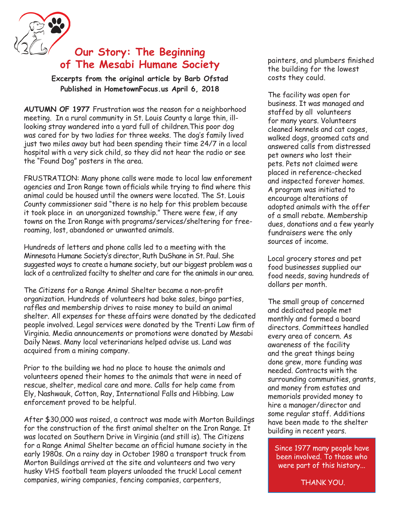

### **Our Story: The Beginning of The Mesabi Humane Society**

**Excerpts from the original article by Barb Ofstad Published in HometownFocus.us April 6, 2018**

**AUTUMN OF 1977** Frustration was the reason for a neighborhood meeting. In a rural community in St. Louis County a large thin, illlooking stray wandered into a yard full of children.This poor dog was cared for by two ladies for three weeks. The dog's family lived just two miles away but had been spending their time 24/7 in a local hospital with a very sick child, so they did not hear the radio or see the "Found Dog" posters in the area.

FRUSTRATION: Many phone calls were made to local law enforement agencies and Iron Range town officials while trying to find where this animal could be housed until the owners were located. The St. Louis County commissioner said "there is no help for this problem because it took place in an unorganized township." There were few, if any towns on the Iron Range with programs/services/sheltering for freeroaming, lost, abandoned or unwanted animals.

Hundreds of letters and phone calls led to a meeting with the Minnesota Humane Society's director, Ruth DuShane in St. Paul. She suggested ways to create a humane society, but our biggest problem was a lack of a centralized facilty to shelter and care for the animals in our area.

The Citizens for a Range Animal Shelter became a non-profit organization. Hundreds of volunteers had bake sales, bingo parties, raffles and membership drives to raise money to build an animal shelter. All expenses for these affairs were donated by the dedicated people involved. Legal services were donated by the Trenti Law firm of Virginia. Media announcements or promotions were donated by Mesabi Daily News. Many local veterinarians helped advise us. Land was acquired from a mining company.

Prior to the building we had no place to house the animals and volunteers opened their homes to the animals that were in need of rescue, shelter, medical care and more. Calls for help came from Ely, Nashwauk, Cotton, Ray, International Falls and Hibbing. Law enforcement proved to be helpful.

After \$30,000 was raised, a contract was made with Morton Buildings for the construction of the first animal shelter on the Iron Range. It was located on Southern Drive in Virginia (and still is). The Citizens for a Range Animal Shelter became an official humane society in the early 1980s. On a rainy day in October 1980 a transport truck from Morton Buildings arrived at the site and volunteers and two very husky VHS football team players unloaded the truck! Local cement companies, wiring companies, fencing companies, carpenters,

painters, and plumbers finished the building for the lowest costs they could.

The facility was open for business. It was managed and staffed by all volunteers for many years. Volunteers cleaned kennels and cat cages, walked dogs, groomed cats and answered calls from distressed pet owners who lost their pets. Pets not claimed were placed in reference-checked and inspected forever homes. A program was initiated to encourage alterations of adopted animals with the offer of a small rebate. Membership dues, donations and a few yearly fundraisers were the only sources of income.

Local grocery stores and pet food businesses supplied our food needs, saving hundreds of dollars per month.

The small group of concerned and dedicated people met monthly and formed a board directors. Committees handled every area of concern. As awareness of the facility and the great things being done grew, more funding was needed. Contracts with the surrounding communities, grants, and money from estates and memorials provided money to hire a manager/director and some regular staff. Additions have been made to the shelter building in recent years.

Since 1977 many people have been involved. To those who were part of this history...

THANK YOU.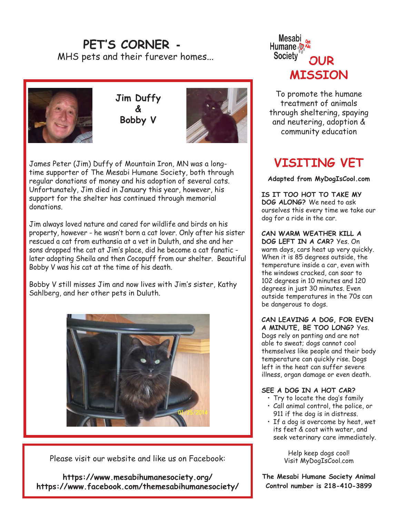# **PET'S CORNER -** MHS pets and their furever homes...



**Jim Duffy & Bobby V**



James Peter (Jim) Duffy of Mountain Iron, MN was a longtime supporter of The Mesabi Humane Society, both through regular donations of money and his adoption of several cats. Unfortunately, Jim died in January this year, however, his support for the shelter has continued through memorial donations.

Jim always loved nature and cared for wildlife and birds on his property, however - he wasn't born a cat lover. Only after his sister rescued a cat from euthansia at a vet in Duluth, and she and her sons dropped the cat at Jim's place, did he become a cat fanatic later adopting Sheila and then Cocopuff from our shelter. Beautiful Bobby V was his cat at the time of his death.

Bobby V still misses Jim and now lives with Jim's sister, Kathy Sahlberg, and her other pets in Duluth.



Please visit our website and like us on Facebook:

**https://www.mesabihumanesociety.org/ https://www.facebook.com/themesabihumanesociety/**



To promote the humane treatment of animals through sheltering, spaying and neutering, adoption & community education

# **VISITING VET**

**Adapted from MyDogIsCool.com**

**IS IT TOO HOT TO TAKE MY DOG ALONG?** We need to ask ourselves this every time we take our dog for a ride in the car.

**CAN WARM WEATHER KILL A DOG LEFT IN A CAR?** Yes. On warm days, cars heat up very quickly. When it is 85 degrees outside, the temperature inside a car, even with the windows cracked, can soar to 102 degrees in 10 minutes and 120 degrees in just 30 minutes. Even outside temperatures in the 70s can be dangerous to dogs.

**CAN LEAVING A DOG, FOR EVEN A MINUTE, BE TOO LONG?** Yes. Dogs rely on panting and are not able to sweat; dogs cannot cool themselves like people and their body temperature can quickly rise. Dogs left in the heat can suffer severe illness, organ damage or even death.

#### **SEE A DOG IN A HOT CAR?**

- Try to locate the dog's family
- Call animal control, the police, or 911 if the dog is in distress.
- If a dog is overcome by heat, wet its feet & coat with water, and seek veterinary care immediately.

Help keep dogs cool! Visit MyDogIsCool.com

**The Mesabi Humane Society Animal Control number is 218-410-3899**